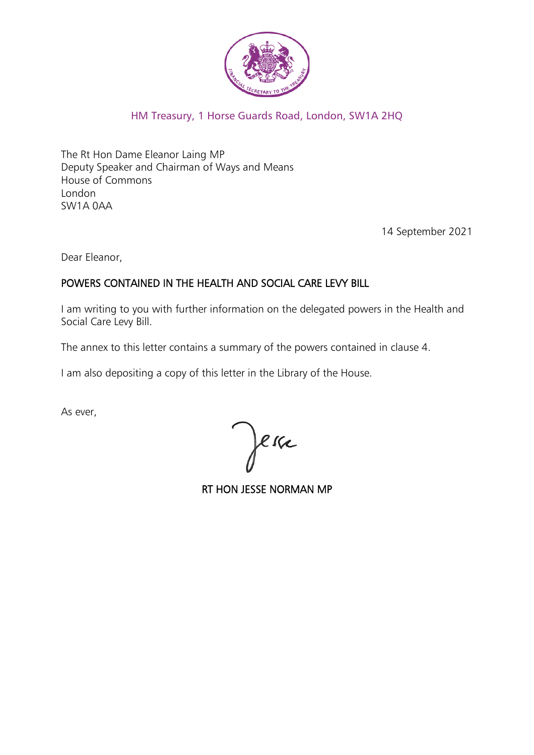

# HM Treasury, 1 Horse Guards Road, London, SW1A 2HQ

The Rt Hon Dame Eleanor Laing MP Deputy Speaker and Chairman of Ways and Means House of Commons London SW1A 0AA

14 September 2021

Dear Eleanor,

#### POWERS CONTAINED IN THE HEALTH AND SOCIAL CARE LEVY BILL

I am writing to you with further information on the delegated powers in the Health and Social Care Levy Bill.

The annex to this letter contains a summary of the powers contained in clause 4.

I am also depositing a copy of this letter in the Library of the House.

As ever,

Jerre

RT HON JESSE NORMAN MP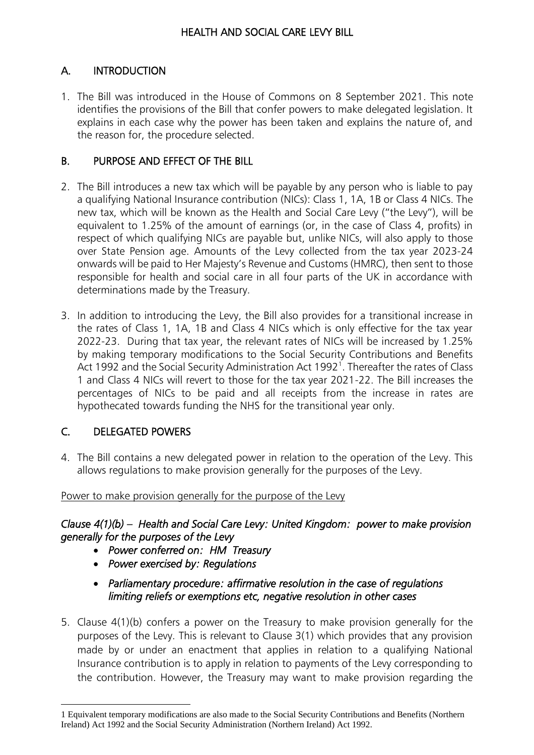#### HEALTH AND SOCIAL CARE LEVY BILL

# A. INTRODUCTION

1. The Bill was introduced in the House of Commons on 8 September 2021. This note identifies the provisions of the Bill that confer powers to make delegated legislation. It explains in each case why the power has been taken and explains the nature of, and the reason for, the procedure selected.

# B. PURPOSE AND EFFECT OF THE BILL

- 2. The Bill introduces a new tax which will be payable by any person who is liable to pay a qualifying National Insurance contribution (NICs): Class 1, 1A, 1B or Class 4 NICs. The new tax, which will be known as the Health and Social Care Levy ("the Levy"), will be equivalent to 1.25% of the amount of earnings (or, in the case of Class 4, profits) in respect of which qualifying NICs are payable but, unlike NICs, will also apply to those over State Pension age. Amounts of the Levy collected from the tax year 2023-24 onwards will be paid to Her Majesty's Revenue and Customs (HMRC), then sent to those responsible for health and social care in all four parts of the UK in accordance with determinations made by the Treasury.
- 3. In addition to introducing the Levy, the Bill also provides for a transitional increase in the rates of Class 1, 1A, 1B and Class 4 NICs which is only effective for the tax year 2022-23. During that tax year, the relevant rates of NICs will be increased by 1.25% by making temporary modifications to the Social Security Contributions and Benefits Act 1992 and the Social Security Administration Act 1992<sup>1</sup>. Thereafter the rates of Class 1 and Class 4 NICs will revert to those for the tax year 2021-22. The Bill increases the percentages of NICs to be paid and all receipts from the increase in rates are hypothecated towards funding the NHS for the transitional year only.

# C. DELEGATED POWERS

4. The Bill contains a new delegated power in relation to the operation of the Levy. This allows regulations to make provision generally for the purposes of the Levy.

#### Power to make provision generally for the purpose of the Levy

#### *Clause 4(1)(b) – Health and Social Care Levy: United Kingdom: power to make provision generally for the purposes of the Levy*

- *Power conferred on: HM Treasury*
- *Power exercised by: Regulations*
- *Parliamentary procedure: affirmative resolution in the case of regulations limiting reliefs or exemptions etc, negative resolution in other cases*
- 5. Clause 4(1)(b) confers a power on the Treasury to make provision generally for the purposes of the Levy. This is relevant to Clause 3(1) which provides that any provision made by or under an enactment that applies in relation to a qualifying National Insurance contribution is to apply in relation to payments of the Levy corresponding to the contribution. However, the Treasury may want to make provision regarding the

<sup>1</sup> Equivalent temporary modifications are also made to the Social Security Contributions and Benefits (Northern Ireland) Act 1992 and the Social Security Administration (Northern Ireland) Act 1992.